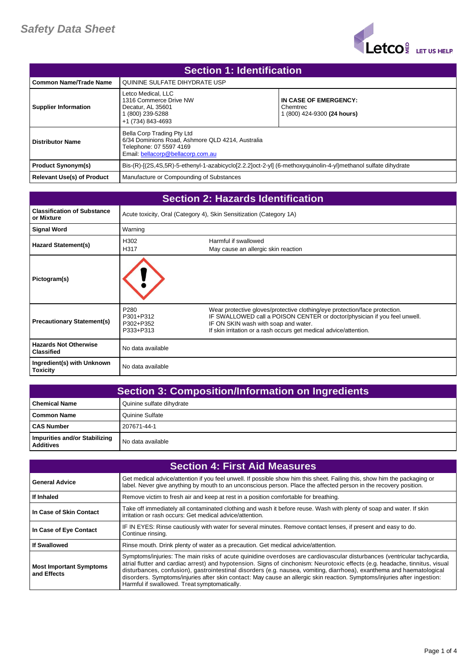

| <b>Section 1: Identification</b> |                                                                                                                                                |                                                                  |
|----------------------------------|------------------------------------------------------------------------------------------------------------------------------------------------|------------------------------------------------------------------|
| l Common Name/Trade Name         | QUININE SULFATE DIHYDRATE USP                                                                                                                  |                                                                  |
| <b>Supplier Information</b>      | Letco Medical, LLC<br>1316 Commerce Drive NW<br>Decatur. AL 35601<br>(800) 239-5288<br>+1 (734) 843-4693                                       | IN CASE OF EMERGENCY:<br>Chemtrec<br>1 (800) 424-9300 (24 hours) |
| <b>Distributor Name</b>          | Bella Corp Trading Pty Ltd<br>6/34 Dominions Road, Ashmore QLD 4214, Australia<br>Telephone: 07 5597 4169<br>Email: bellacorp@bellacorp.com.au |                                                                  |
| <b>Product Synonym(s)</b>        | Bis-(R)-[(2S,4S,5R)-5-ethenyl-1-azabicyclo[2.2.2]oct-2-yl] (6-methoxyquinolin-4-yl)methanol sulfate dihydrate                                  |                                                                  |
| Relevant Use(s) of Product       | Manufacture or Compounding of Substances                                                                                                       |                                                                  |

| <b>Section 2: Hazards Identification</b>          |                                                         |                                                                                                                                                                                                                                                                      |
|---------------------------------------------------|---------------------------------------------------------|----------------------------------------------------------------------------------------------------------------------------------------------------------------------------------------------------------------------------------------------------------------------|
| <b>Classification of Substance</b><br>or Mixture  |                                                         | Acute toxicity, Oral (Category 4), Skin Sensitization (Category 1A)                                                                                                                                                                                                  |
| <b>Signal Word</b>                                | Warning                                                 |                                                                                                                                                                                                                                                                      |
| <b>Hazard Statement(s)</b>                        | H302<br>H317                                            | Harmful if swallowed<br>May cause an allergic skin reaction                                                                                                                                                                                                          |
| Pictogram(s)                                      |                                                         |                                                                                                                                                                                                                                                                      |
| <b>Precautionary Statement(s)</b>                 | P <sub>280</sub><br>P301+P312<br>P302+P352<br>P333+P313 | Wear protective gloves/protective clothing/eye protection/face protection.<br>IF SWALLOWED call a POISON CENTER or doctor/physician if you feel unwell.<br>IF ON SKIN wash with soap and water.<br>If skin irritation or a rash occurs get medical advice/attention. |
| <b>Hazards Not Otherwise</b><br><b>Classified</b> | No data available                                       |                                                                                                                                                                                                                                                                      |
| Ingredient(s) with Unknown<br><b>Toxicity</b>     | No data available                                       |                                                                                                                                                                                                                                                                      |

| <b>Section 3: Composition/Information on Ingredients</b> |                           |
|----------------------------------------------------------|---------------------------|
| <b>Chemical Name</b>                                     | Quinine sulfate dihydrate |
| Common Name                                              | Quinine Sulfate           |
| <b>CAS Number</b>                                        | 207671-44-1               |
| Impurities and/or Stabilizing<br><b>Additives</b>        | No data available         |

| <b>Section 4: First Aid Measures</b>          |                                                                                                                                                                                                                                                                                                                                                                                                                                                                                                                                                               |
|-----------------------------------------------|---------------------------------------------------------------------------------------------------------------------------------------------------------------------------------------------------------------------------------------------------------------------------------------------------------------------------------------------------------------------------------------------------------------------------------------------------------------------------------------------------------------------------------------------------------------|
| <b>General Advice</b>                         | Get medical advice/attention if you feel unwell. If possible show him this sheet. Failing this, show him the packaging or<br>label. Never give anything by mouth to an unconscious person. Place the affected person in the recovery position.                                                                                                                                                                                                                                                                                                                |
| If Inhaled                                    | Remove victim to fresh air and keep at rest in a position comfortable for breathing.                                                                                                                                                                                                                                                                                                                                                                                                                                                                          |
| In Case of Skin Contact                       | Take off immediately all contaminated clothing and wash it before reuse. Wash with plenty of soap and water. If skin<br>irritation or rash occurs: Get medical advice/attention.                                                                                                                                                                                                                                                                                                                                                                              |
| In Case of Eye Contact                        | IF IN EYES: Rinse cautiously with water for several minutes. Remove contact lenses, if present and easy to do.<br>Continue rinsing.                                                                                                                                                                                                                                                                                                                                                                                                                           |
| <b>If Swallowed</b>                           | Rinse mouth. Drink plenty of water as a precaution. Get medical advice/attention.                                                                                                                                                                                                                                                                                                                                                                                                                                                                             |
| <b>Most Important Symptoms</b><br>and Effects | Symptoms/injuries: The main risks of acute quinidine overdoses are cardiovascular disturbances (ventricular tachycardia,<br>atrial flutter and cardiac arrest) and hypotension. Signs of cinchonism: Neurotoxic effects (e.g. headache, tinnitus, visual<br>disturbances, confusion), gastrointestinal disorders (e.g. nausea, vomiting, diarrhoea), exanthema and haematological<br>disorders. Symptoms/injuries after skin contact: May cause an allergic skin reaction. Symptoms/injuries after ingestion:<br>Harmful if swallowed. Treat symptomatically. |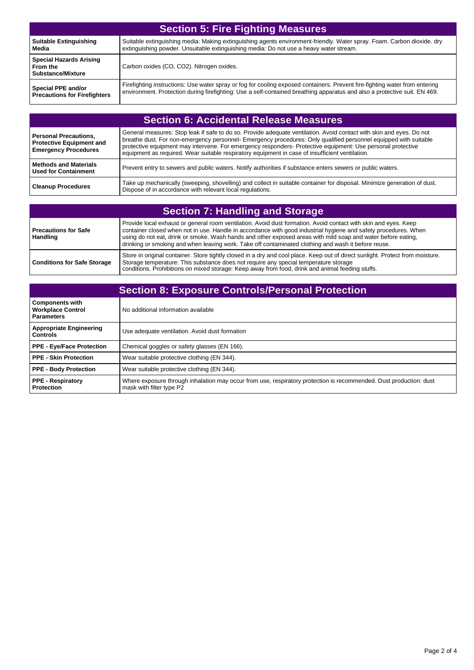| <b>Section 5: Fire Fighting Measures</b>                               |                                                                                                                             |
|------------------------------------------------------------------------|-----------------------------------------------------------------------------------------------------------------------------|
| <b>Suitable Extinguishing</b>                                          | Suitable extinguishing media: Making extinguishing agents environment-friendly. Water spray. Foam. Carbon dioxide. dry      |
| Media                                                                  | extinguishing powder. Unsuitable extinguishing media: Do not use a heavy water stream.                                      |
| <b>Special Hazards Arising</b><br>From the<br><b>Substance/Mixture</b> | Carbon oxides (CO, CO2). Nitrogen oxides.                                                                                   |
| Special PPE and/or                                                     | Firefighting instructions: Use water spray or fog for cooling exposed containers. Prevent fire-fighting water from entering |
| <b>Precautions for Firefighters</b>                                    | environment. Protection during firefighting: Use a self-contained breathing apparatus and also a protective suit. EN 469.   |

| <b>Section 6: Accidental Release Measures</b>                                                  |                                                                                                                                                                                                                                                                                                                                                                                                                                                            |
|------------------------------------------------------------------------------------------------|------------------------------------------------------------------------------------------------------------------------------------------------------------------------------------------------------------------------------------------------------------------------------------------------------------------------------------------------------------------------------------------------------------------------------------------------------------|
| <b>Personal Precautions,</b><br><b>Protective Equipment and</b><br><b>Emergency Procedures</b> | General measures: Stop leak if safe to do so. Provide adequate ventilation. Avoid contact with skin and eyes. Do not<br>breathe dust. For non-emergency personnel- Emergency procedures: Only qualified personnel equipped with suitable<br>protective equipment may intervene. For emergency responders- Protective equipment: Use personal protective<br>equipment as required. Wear suitable respiratory equipment in case of insufficient ventilation. |
| <b>Methods and Materials</b><br><b>Used for Containment</b>                                    | Prevent entry to sewers and public waters. Notify authorities if substance enters sewers or public waters.                                                                                                                                                                                                                                                                                                                                                 |
| <b>Cleanup Procedures</b>                                                                      | Take up mechanically (sweeping, shovelling) and collect in suitable container for disposal. Minimize generation of dust.<br>Dispose of in accordance with relevant local regulations.                                                                                                                                                                                                                                                                      |

| <b>Section 7: Handling and Storage</b> |                                                                                                                                                                                                                                                                                                                                                                                                                                                           |
|----------------------------------------|-----------------------------------------------------------------------------------------------------------------------------------------------------------------------------------------------------------------------------------------------------------------------------------------------------------------------------------------------------------------------------------------------------------------------------------------------------------|
| Precautions for Safe<br>Handling       | Provide local exhaust or general room ventilation. Avoid dust formation. Avoid contact with skin and eyes. Keep<br>container closed when not in use. Handle in accordance with good industrial hygiene and safety procedures. When<br>using do not eat, drink or smoke. Wash hands and other exposed areas with mild soap and water before eating,<br>drinking or smoking and when leaving work. Take off contaminated clothing and wash it before reuse. |
| <b>Conditions for Safe Storage</b>     | Store in original container. Store tightly closed in a dry and cool place. Keep out of direct sunlight. Protect from moisture.<br>Storage temperature: This substance does not require any special temperature storage<br>conditions. Prohibitions on mixed storage: Keep away from food, drink and animal feeding stuffs.                                                                                                                                |

| <b>Section 8: Exposure Controls/Personal Protection</b>                 |                                                                                                                                                |
|-------------------------------------------------------------------------|------------------------------------------------------------------------------------------------------------------------------------------------|
| <b>Components with</b><br><b>Workplace Control</b><br><b>Parameters</b> | No additional information available                                                                                                            |
| <b>Appropriate Engineering</b><br><b>Controls</b>                       | Use adequate ventilation. Avoid dust formation                                                                                                 |
| PPE - Eye/Face Protection                                               | Chemical goggles or safety glasses (EN 166).                                                                                                   |
| PPE - Skin Protection                                                   | Wear suitable protective clothing (EN 344).                                                                                                    |
| <b>PPE - Body Protection</b>                                            | Wear suitable protective clothing (EN 344).                                                                                                    |
| <b>PPE - Respiratory</b><br><b>Protection</b>                           | Where exposure through inhalation may occur from use, respiratory protection is recommended. Dust production: dust<br>mask with filter type P2 |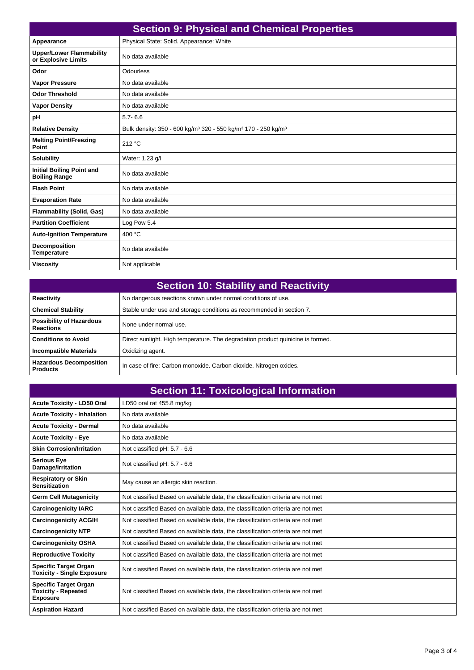| <b>Section 9: Physical and Chemical Properties</b>       |                                                                                                   |
|----------------------------------------------------------|---------------------------------------------------------------------------------------------------|
| Appearance                                               | Physical State: Solid. Appearance: White                                                          |
| <b>Upper/Lower Flammability</b><br>or Explosive Limits   | No data available                                                                                 |
| Odor                                                     | Odourless                                                                                         |
| <b>Vapor Pressure</b>                                    | No data available                                                                                 |
| <b>Odor Threshold</b>                                    | No data available                                                                                 |
| <b>Vapor Density</b>                                     | No data available                                                                                 |
| pH                                                       | $5.7 - 6.6$                                                                                       |
| <b>Relative Density</b>                                  | Bulk density: 350 - 600 kg/m <sup>3</sup> 320 - 550 kg/m <sup>3</sup> 170 - 250 kg/m <sup>3</sup> |
| <b>Melting Point/Freezing</b><br>Point                   | 212 °C                                                                                            |
| <b>Solubility</b>                                        | Water: 1.23 g/l                                                                                   |
| <b>Initial Boiling Point and</b><br><b>Boiling Range</b> | No data available                                                                                 |
| <b>Flash Point</b>                                       | No data available                                                                                 |
| <b>Evaporation Rate</b>                                  | No data available                                                                                 |
| <b>Flammability (Solid, Gas)</b>                         | No data available                                                                                 |
| <b>Partition Coefficient</b>                             | Log Pow 5.4                                                                                       |
| <b>Auto-Ignition Temperature</b>                         | 400 °C                                                                                            |
| <b>Decomposition</b><br><b>Temperature</b>               | No data available                                                                                 |
| <b>Viscosity</b>                                         | Not applicable                                                                                    |

| <b>Section 10: Stability and Reactivity</b>         |                                                                                 |
|-----------------------------------------------------|---------------------------------------------------------------------------------|
| Reactivity                                          | No dangerous reactions known under normal conditions of use.                    |
| <b>Chemical Stability</b>                           | Stable under use and storage conditions as recommended in section 7.            |
| <b>Possibility of Hazardous</b><br><b>Reactions</b> | None under normal use.                                                          |
| <b>Conditions to Avoid</b>                          | Direct sunlight. High temperature. The degradation product quinicine is formed. |
| Incompatible Materials                              | Oxidizing agent.                                                                |
| <b>Hazardous Decomposition</b><br><b>Products</b>   | In case of fire: Carbon monoxide. Carbon dioxide. Nitrogen oxides.              |

| <b>Section 11: Toxicological Information</b>                                  |                                                                                 |
|-------------------------------------------------------------------------------|---------------------------------------------------------------------------------|
| <b>Acute Toxicity - LD50 Oral</b>                                             | LD50 oral rat 455.8 mg/kg                                                       |
| <b>Acute Toxicity - Inhalation</b>                                            | No data available                                                               |
| <b>Acute Toxicity - Dermal</b>                                                | No data available                                                               |
| <b>Acute Toxicity - Eye</b>                                                   | No data available                                                               |
| <b>Skin Corrosion/Irritation</b>                                              | Not classified pH: 5.7 - 6.6                                                    |
| <b>Serious Eye</b><br>Damage/Irritation                                       | Not classified pH: 5.7 - 6.6                                                    |
| <b>Respiratory or Skin</b><br><b>Sensitization</b>                            | May cause an allergic skin reaction.                                            |
| <b>Germ Cell Mutagenicity</b>                                                 | Not classified Based on available data, the classification criteria are not met |
| <b>Carcinogenicity IARC</b>                                                   | Not classified Based on available data, the classification criteria are not met |
| <b>Carcinogenicity ACGIH</b>                                                  | Not classified Based on available data, the classification criteria are not met |
| <b>Carcinogenicity NTP</b>                                                    | Not classified Based on available data, the classification criteria are not met |
| <b>Carcinogenicity OSHA</b>                                                   | Not classified Based on available data, the classification criteria are not met |
| <b>Reproductive Toxicity</b>                                                  | Not classified Based on available data, the classification criteria are not met |
| <b>Specific Target Organ</b><br><b>Toxicity - Single Exposure</b>             | Not classified Based on available data, the classification criteria are not met |
| <b>Specific Target Organ</b><br><b>Toxicity - Repeated</b><br><b>Exposure</b> | Not classified Based on available data, the classification criteria are not met |
| <b>Aspiration Hazard</b>                                                      | Not classified Based on available data, the classification criteria are not met |